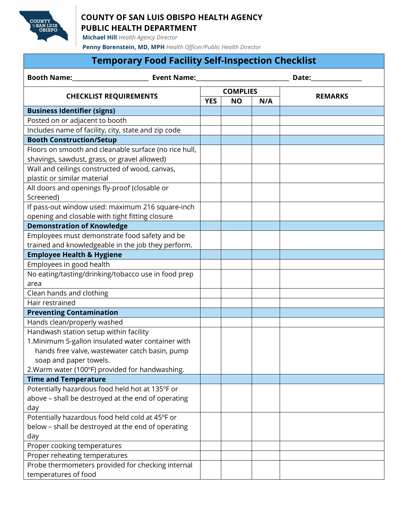

## **COUNTY OF SAN LUIS OBISPO HEALTH AGENCY PUBLIC HEALTH DEPARTMENT**

**Michael Hill** *Health Agency Director*

**Penny Borenstein, MD, MPH** *Health Officer/Public Health Director*

## **Temporary Food Facility Self-Inspection Checklist**

| <b>Booth Name:</b><br><b>Event Name:</b>              |            |                 |     |                |
|-------------------------------------------------------|------------|-----------------|-----|----------------|
| <b>CHECKLIST REQUIREMENTS</b>                         |            | <b>COMPLIES</b> |     |                |
|                                                       | <b>YES</b> | <b>NO</b>       | N/A | <b>REMARKS</b> |
| <b>Business Identifier (signs)</b>                    |            |                 |     |                |
| Posted on or adjacent to booth                        |            |                 |     |                |
| Includes name of facility, city, state and zip code   |            |                 |     |                |
| <b>Booth Construction/Setup</b>                       |            |                 |     |                |
| Floors on smooth and cleanable surface (no rice hull, |            |                 |     |                |
| shavings, sawdust, grass, or gravel allowed)          |            |                 |     |                |
| Wall and ceilings constructed of wood, canvas,        |            |                 |     |                |
| plastic or similar material                           |            |                 |     |                |
| All doors and openings fly-proof (closable or         |            |                 |     |                |
| Screened)                                             |            |                 |     |                |
| If pass-out window used: maximum 216 square-inch      |            |                 |     |                |
| opening and closable with tight fitting closure       |            |                 |     |                |
| <b>Demonstration of Knowledge</b>                     |            |                 |     |                |
| Employees must demonstrate food safety and be         |            |                 |     |                |
| trained and knowledgeable in the job they perform.    |            |                 |     |                |
| <b>Employee Health &amp; Hygiene</b>                  |            |                 |     |                |
| Employees in good health                              |            |                 |     |                |
| No eating/tasting/drinking/tobacco use in food prep   |            |                 |     |                |
| area                                                  |            |                 |     |                |
| Clean hands and clothing                              |            |                 |     |                |
| Hair restrained                                       |            |                 |     |                |
| <b>Preventing Contamination</b>                       |            |                 |     |                |
| Hands clean/properly washed                           |            |                 |     |                |
| Handwash station setup within facility                |            |                 |     |                |
| 1. Minimum 5-gallon insulated water container with    |            |                 |     |                |
| hands free valve, wastewater catch basin, pump        |            |                 |     |                |
| soap and paper towels.                                |            |                 |     |                |
| 2. Warm water (100°F) provided for handwashing.       |            |                 |     |                |
| <b>Time and Temperature</b>                           |            |                 |     |                |
| Potentially hazardous food held hot at 135°F or       |            |                 |     |                |
| above - shall be destroyed at the end of operating    |            |                 |     |                |
| day                                                   |            |                 |     |                |
| Potentially hazardous food held cold at 45°F or       |            |                 |     |                |
| below - shall be destroyed at the end of operating    |            |                 |     |                |
| day                                                   |            |                 |     |                |
| Proper cooking temperatures                           |            |                 |     |                |
| Proper reheating temperatures                         |            |                 |     |                |
| Probe thermometers provided for checking internal     |            |                 |     |                |
| temperatures of food                                  |            |                 |     |                |